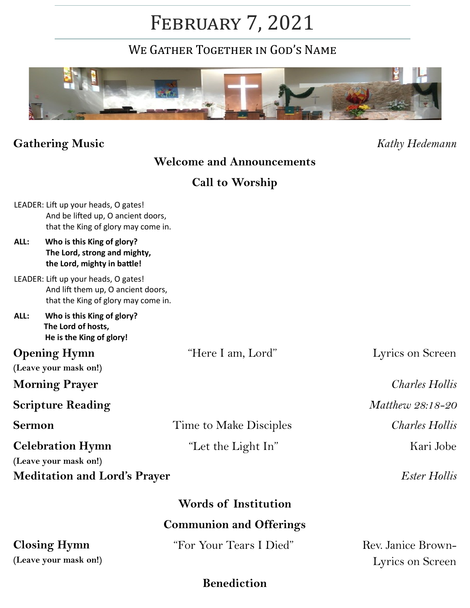# February 7, 2021

WE GATHER TOGETHER IN GOD'S NAME



## **Gathering Music** *Kathy Hedemann*

## **Welcome and Announcements**

**Call to Worship**

|                                                                                                                   | <b>Closing Hymn</b>                                                                                               | "For Your Tears I Died" | Rev. Janice Brown-    |  |
|-------------------------------------------------------------------------------------------------------------------|-------------------------------------------------------------------------------------------------------------------|-------------------------|-----------------------|--|
| <b>Communion and Offerings</b>                                                                                    |                                                                                                                   |                         |                       |  |
| <b>Words of Institution</b>                                                                                       |                                                                                                                   |                         |                       |  |
| <b>Meditation and Lord's Prayer</b>                                                                               |                                                                                                                   |                         | <b>Ester Hollis</b>   |  |
|                                                                                                                   | (Leave your mask on!)                                                                                             |                         |                       |  |
| <b>Celebration Hymn</b>                                                                                           |                                                                                                                   | "Let the Light In"      | Kari Jobe             |  |
| <b>Sermon</b>                                                                                                     |                                                                                                                   | Time to Make Disciples  | <b>Charles Hollis</b> |  |
| <b>Scripture Reading</b>                                                                                          |                                                                                                                   |                         | Matthew 28:18-20      |  |
| <b>Morning Prayer</b>                                                                                             |                                                                                                                   |                         | <b>Charles Hollis</b> |  |
| (Leave your mask on!)                                                                                             |                                                                                                                   |                         |                       |  |
| <b>Opening Hymn</b>                                                                                               |                                                                                                                   | "Here I am, Lord"       | Lyrics on Screen      |  |
| ALL:                                                                                                              | Who is this King of glory?<br>The Lord of hosts,<br>He is the King of glory!                                      |                         |                       |  |
| LEADER: Lift up your heads, O gates!<br>And lift them up, O ancient doors,<br>that the King of glory may come in. |                                                                                                                   |                         |                       |  |
| ALL:                                                                                                              | Who is this King of glory?<br>The Lord, strong and mighty,<br>the Lord, mighty in battle!                         |                         |                       |  |
|                                                                                                                   | LEADER: Lift up your heads, O gates!<br>And be lifted up, O ancient doors,<br>that the King of glory may come in. |                         |                       |  |

**(Leave your mask on!)**

Lyrics on Screen

### **Benediction**